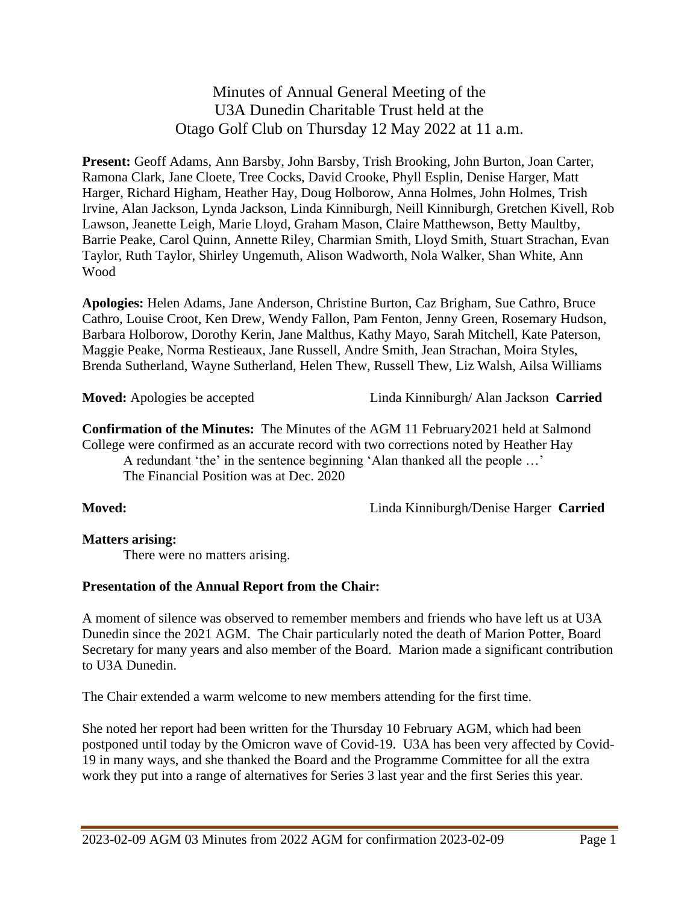Minutes of Annual General Meeting of the U3A Dunedin Charitable Trust held at the Otago Golf Club on Thursday 12 May 2022 at 11 a.m.

**Present:** Geoff Adams, Ann Barsby, John Barsby, Trish Brooking, John Burton, Joan Carter, Ramona Clark, Jane Cloete, Tree Cocks, David Crooke, Phyll Esplin, Denise Harger, Matt Harger, Richard Higham, Heather Hay, Doug Holborow, Anna Holmes, John Holmes, Trish Irvine, Alan Jackson, Lynda Jackson, Linda Kinniburgh, Neill Kinniburgh, Gretchen Kivell, Rob Lawson, Jeanette Leigh, Marie Lloyd, Graham Mason, Claire Matthewson, Betty Maultby, Barrie Peake, Carol Quinn, Annette Riley, Charmian Smith, Lloyd Smith, Stuart Strachan, Evan Taylor, Ruth Taylor, Shirley Ungemuth, Alison Wadworth, Nola Walker, Shan White, Ann Wood

**Apologies:** Helen Adams, Jane Anderson, Christine Burton, Caz Brigham, Sue Cathro, Bruce Cathro, Louise Croot, Ken Drew, Wendy Fallon, Pam Fenton, Jenny Green, Rosemary Hudson, Barbara Holborow, Dorothy Kerin, Jane Malthus, Kathy Mayo, Sarah Mitchell, Kate Paterson, Maggie Peake, Norma Restieaux, Jane Russell, Andre Smith, Jean Strachan, Moira Styles, Brenda Sutherland, Wayne Sutherland, Helen Thew, Russell Thew, Liz Walsh, Ailsa Williams

**Moved:** Apologies be accepted Linda Kinniburgh/ Alan Jackson **Carried**

**Confirmation of the Minutes:** The Minutes of the AGM 11 February2021 held at Salmond College were confirmed as an accurate record with two corrections noted by Heather Hay A redundant 'the' in the sentence beginning 'Alan thanked all the people …'

The Financial Position was at Dec. 2020

**Moved:** Linda Kinniburgh/Denise Harger **Carried**

#### **Matters arising:**

There were no matters arising.

## **Presentation of the Annual Report from the Chair:**

A moment of silence was observed to remember members and friends who have left us at U3A Dunedin since the 2021 AGM. The Chair particularly noted the death of Marion Potter, Board Secretary for many years and also member of the Board. Marion made a significant contribution to U3A Dunedin.

The Chair extended a warm welcome to new members attending for the first time.

She noted her report had been written for the Thursday 10 February AGM, which had been postponed until today by the Omicron wave of Covid-19. U3A has been very affected by Covid-19 in many ways, and she thanked the Board and the Programme Committee for all the extra work they put into a range of alternatives for Series 3 last year and the first Series this year.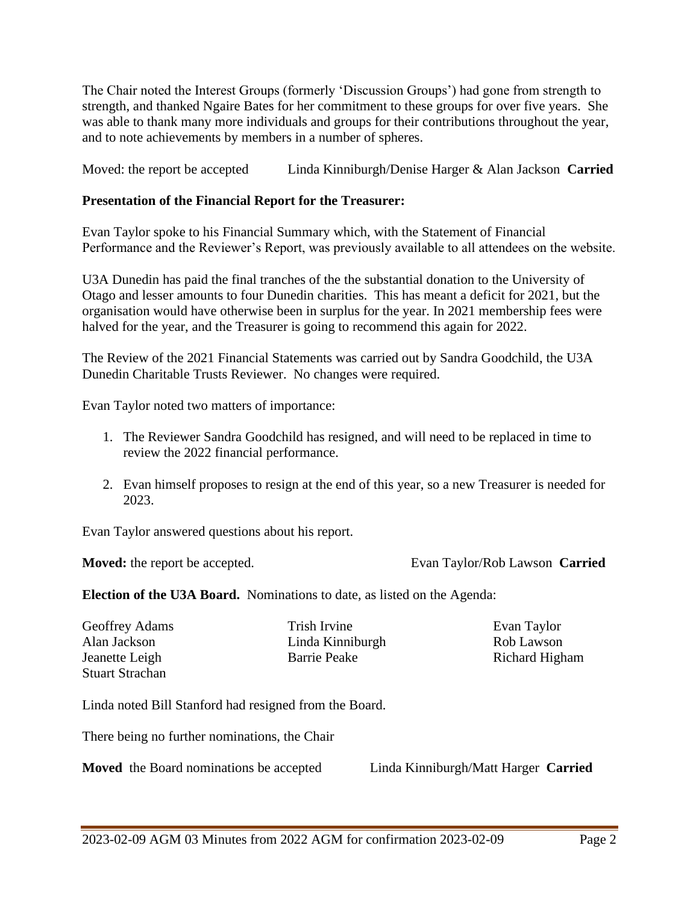The Chair noted the Interest Groups (formerly 'Discussion Groups') had gone from strength to strength, and thanked Ngaire Bates for her commitment to these groups for over five years. She was able to thank many more individuals and groups for their contributions throughout the year, and to note achievements by members in a number of spheres.

Moved: the report be accepted Linda Kinniburgh/Denise Harger & Alan Jackson **Carried**

## **Presentation of the Financial Report for the Treasurer:**

Evan Taylor spoke to his Financial Summary which, with the Statement of Financial Performance and the Reviewer's Report, was previously available to all attendees on the website.

U3A Dunedin has paid the final tranches of the the substantial donation to the University of Otago and lesser amounts to four Dunedin charities. This has meant a deficit for 2021, but the organisation would have otherwise been in surplus for the year. In 2021 membership fees were halved for the year, and the Treasurer is going to recommend this again for 2022.

The Review of the 2021 Financial Statements was carried out by Sandra Goodchild, the U3A Dunedin Charitable Trusts Reviewer. No changes were required.

Evan Taylor noted two matters of importance:

- 1. The Reviewer Sandra Goodchild has resigned, and will need to be replaced in time to review the 2022 financial performance.
- 2. Evan himself proposes to resign at the end of this year, so a new Treasurer is needed for 2023.

Evan Taylor answered questions about his report.

**Moved:** the report be accepted. Evan Taylor/Rob Lawson **Carried**

**Election of the U3A Board.** Nominations to date, as listed on the Agenda:

Stuart Strachan

Geoffrey Adams Trish Irvine Evan Taylor Alan Jackson Linda Kinniburgh Rob Lawson Jeanette Leigh Barrie Peake Richard Higham

Linda noted Bill Stanford had resigned from the Board.

There being no further nominations, the Chair

**Moved** the Board nominations be accepted Linda Kinniburgh/Matt Harger **Carried**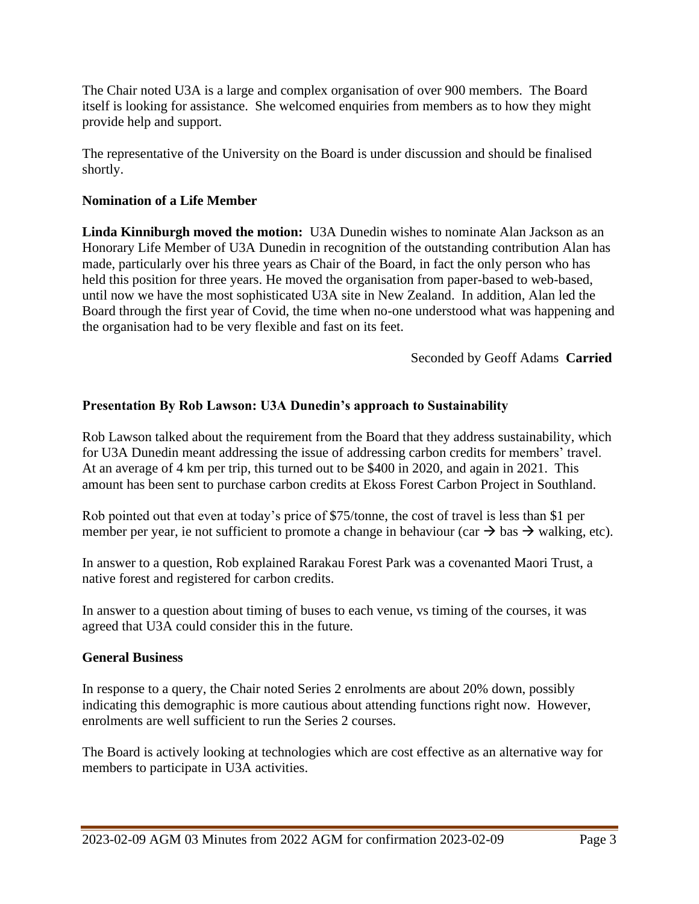The Chair noted U3A is a large and complex organisation of over 900 members. The Board itself is looking for assistance. She welcomed enquiries from members as to how they might provide help and support.

The representative of the University on the Board is under discussion and should be finalised shortly.

## **Nomination of a Life Member**

**Linda Kinniburgh moved the motion:** U3A Dunedin wishes to nominate Alan Jackson as an Honorary Life Member of U3A Dunedin in recognition of the outstanding contribution Alan has made, particularly over his three years as Chair of the Board, in fact the only person who has held this position for three years. He moved the organisation from paper-based to web-based, until now we have the most sophisticated U3A site in New Zealand. In addition, Alan led the Board through the first year of Covid, the time when no-one understood what was happening and the organisation had to be very flexible and fast on its feet.

Seconded by Geoff Adams **Carried**

#### **Presentation By Rob Lawson: U3A Dunedin's approach to Sustainability**

Rob Lawson talked about the requirement from the Board that they address sustainability, which for U3A Dunedin meant addressing the issue of addressing carbon credits for members' travel. At an average of 4 km per trip, this turned out to be \$400 in 2020, and again in 2021. This amount has been sent to purchase carbon credits at Ekoss Forest Carbon Project in Southland.

Rob pointed out that even at today's price of \$75/tonne, the cost of travel is less than \$1 per member per year, ie not sufficient to promote a change in behaviour (car  $\rightarrow$  bas  $\rightarrow$  walking, etc).

In answer to a question, Rob explained Rarakau Forest Park was a covenanted Maori Trust, a native forest and registered for carbon credits.

In answer to a question about timing of buses to each venue, vs timing of the courses, it was agreed that U3A could consider this in the future.

#### **General Business**

In response to a query, the Chair noted Series 2 enrolments are about 20% down, possibly indicating this demographic is more cautious about attending functions right now. However, enrolments are well sufficient to run the Series 2 courses.

The Board is actively looking at technologies which are cost effective as an alternative way for members to participate in U3A activities.